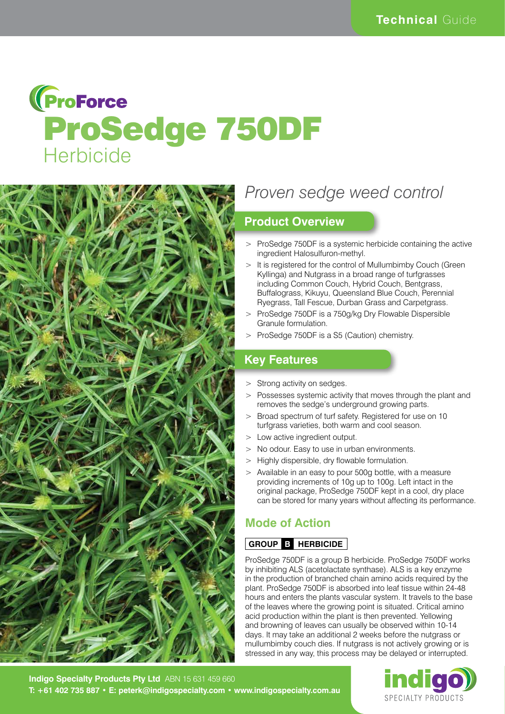# **(ProForce** ProSedge 750DF **Herbicide**



# *Proven sedge weed control*

## **Product Overview**

- > ProSedge 750DF is a systemic herbicide containing the active ingredient Halosulfuron-methyl.
- It is registered for the control of Mullumbimby Couch (Green) Kyllinga) and Nutgrass in a broad range of turfgrasses including Common Couch, Hybrid Couch, Bentgrass, Buffalograss, Kikuyu, Queensland Blue Couch, Perennial Ryegrass, Tall Fescue, Durban Grass and Carpetgrass.
- > ProSedge 750DF is a 750g/kg Dry Flowable Dispersible Granule formulation.
- > ProSedge 750DF is a S5 (Caution) chemistry.

# **Key Features**

- > Strong activity on sedges.
- > Possesses systemic activity that moves through the plant and removes the sedge's underground growing parts.
- > Broad spectrum of turf safety. Registered for use on 10 turfgrass varieties, both warm and cool season.
- > Low active ingredient output.
- > No odour. Easy to use in urban environments.
- > Highly dispersible, dry flowable formulation.
- > Available in an easy to pour 500g bottle, with a measure providing increments of 10g up to 100g. Left intact in the original package, ProSedge 750DF kept in a cool, dry place can be stored for many years without affecting its performance.

# **Mode of Action**

#### **GROUP B HERBICIDE**

ProSedge 750DF is a group B herbicide. ProSedge 750DF works by inhibiting ALS (acetolactate synthase). ALS is a key enzyme in the production of branched chain amino acids required by the plant. ProSedge 750DF is absorbed into leaf tissue within 24-48 hours and enters the plants vascular system. It travels to the base of the leaves where the growing point is situated. Critical amino acid production within the plant is then prevented. Yellowing and browning of leaves can usually be observed within 10-14 days. It may take an additional 2 weeks before the nutgrass or mullumbimby couch dies. If nutgrass is not actively growing or is stressed in any way, this process may be delayed or interrupted.